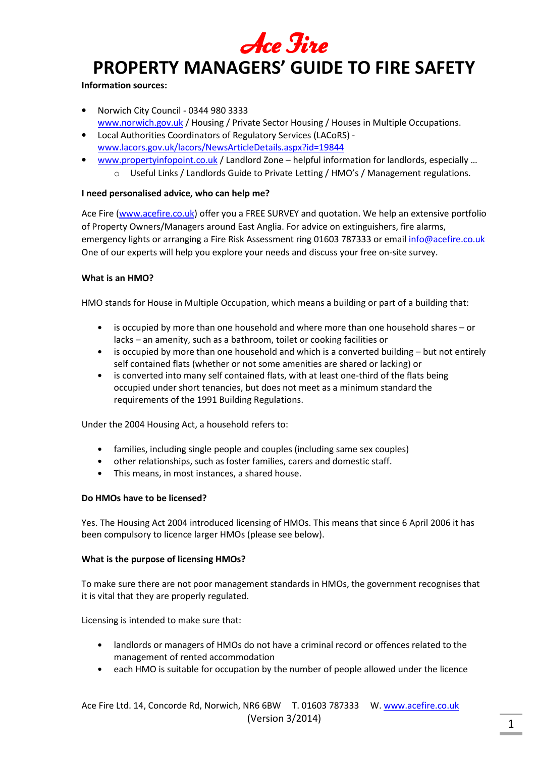Ace Fire

#### **Information sources:**

- Norwich City Council 0344 980 3333 www.norwich.gov.uk / Housing / Private Sector Housing / Houses in Multiple Occupations.
- Local Authorities Coordinators of Regulatory Services (LACoRS) www.lacors.gov.uk/lacors/NewsArticleDetails.aspx?id=19844
- www.propertyinfopoint.co.uk / Landlord Zone helpful information for landlords, especially ...
	- o Useful Links / Landlords Guide to Private Letting / HMO's / Management regulations.

## **I need personalised advice, who can help me?**

Ace Fire (www.acefire.co.uk) offer you a FREE SURVEY and quotation. We help an extensive portfolio of Property Owners/Managers around East Anglia. For advice on extinguishers, fire alarms, emergency lights or arranging a Fire Risk Assessment ring 01603 787333 or email info@acefire.co.uk One of our experts will help you explore your needs and discuss your free on-site survey.

## **What is an HMO?**

HMO stands for House in Multiple Occupation, which means a building or part of a building that:

- is occupied by more than one household and where more than one household shares or lacks – an amenity, such as a bathroom, toilet or cooking facilities or
- is occupied by more than one household and which is a converted building but not entirely self contained flats (whether or not some amenities are shared or lacking) or
- is converted into many self contained flats, with at least one-third of the flats being occupied under short tenancies, but does not meet as a minimum standard the requirements of the 1991 Building Regulations.

Under the 2004 Housing Act, a household refers to:

- families, including single people and couples (including same sex couples)
- other relationships, such as foster families, carers and domestic staff.
- This means, in most instances, a shared house.

## **Do HMOs have to be licensed?**

Yes. The Housing Act 2004 introduced licensing of HMOs. This means that since 6 April 2006 it has been compulsory to licence larger HMOs (please see below).

## **What is the purpose of licensing HMOs?**

To make sure there are not poor management standards in HMOs, the government recognises that it is vital that they are properly regulated.

Licensing is intended to make sure that:

- landlords or managers of HMOs do not have a criminal record or offences related to the management of rented accommodation
- each HMO is suitable for occupation by the number of people allowed under the licence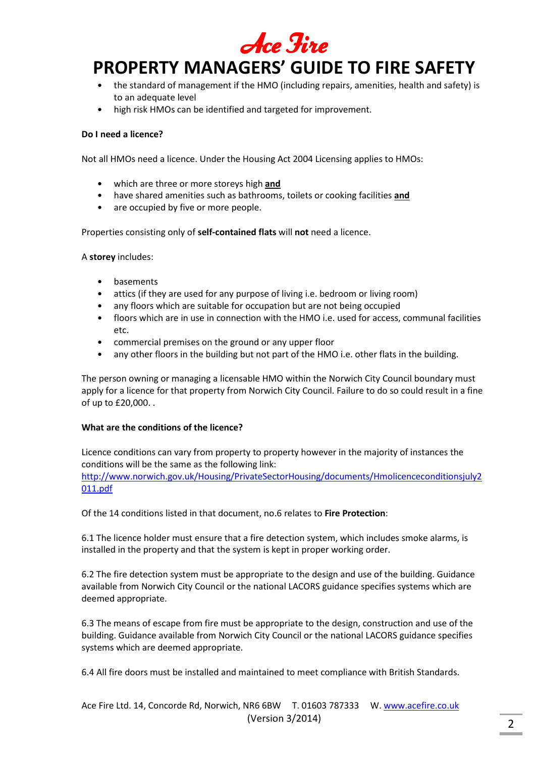

- the standard of management if the HMO (including repairs, amenities, health and safety) is to an adequate level
- high risk HMOs can be identified and targeted for improvement.

## **Do I need a licence?**

Not all HMOs need a licence. Under the Housing Act 2004 Licensing applies to HMOs:

- which are three or more storeys high **and**
- have shared amenities such as bathrooms, toilets or cooking facilities **and**
- are occupied by five or more people.

Properties consisting only of **self-contained flats** will **not** need a licence.

## A **storey** includes:

- basements
- attics (if they are used for any purpose of living i.e. bedroom or living room)
- any floors which are suitable for occupation but are not being occupied
- floors which are in use in connection with the HMO i.e. used for access, communal facilities etc.
- commercial premises on the ground or any upper floor
- any other floors in the building but not part of the HMO i.e. other flats in the building.

The person owning or managing a licensable HMO within the Norwich City Council boundary must apply for a licence for that property from Norwich City Council. Failure to do so could result in a fine of up to £20,000. .

## **What are the conditions of the licence?**

Licence conditions can vary from property to property however in the majority of instances the conditions will be the same as the following link: http://www.norwich.gov.uk/Housing/PrivateSectorHousing/documents/Hmolicenceconditionsjuly2 011.pdf

Of the 14 conditions listed in that document, no.6 relates to **Fire Protection**:

6.1 The licence holder must ensure that a fire detection system, which includes smoke alarms, is installed in the property and that the system is kept in proper working order.

6.2 The fire detection system must be appropriate to the design and use of the building. Guidance available from Norwich City Council or the national LACORS guidance specifies systems which are deemed appropriate.

6.3 The means of escape from fire must be appropriate to the design, construction and use of the building. Guidance available from Norwich City Council or the national LACORS guidance specifies systems which are deemed appropriate.

6.4 All fire doors must be installed and maintained to meet compliance with British Standards.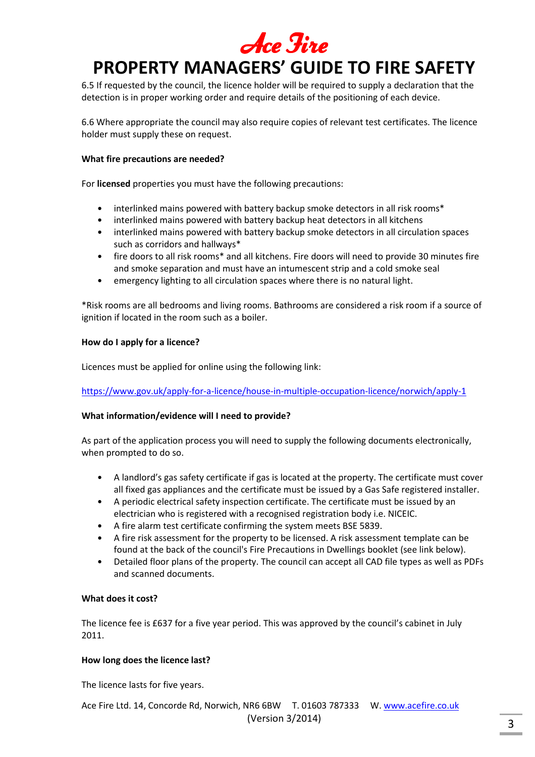6.5 If requested by the council, the licence holder will be required to supply a declaration that the detection is in proper working order and require details of the positioning of each device.

6.6 Where appropriate the council may also require copies of relevant test certificates. The licence holder must supply these on request.

## **What fire precautions are needed?**

For **licensed** properties you must have the following precautions:

- interlinked mains powered with battery backup smoke detectors in all risk rooms\*
- interlinked mains powered with battery backup heat detectors in all kitchens
- interlinked mains powered with battery backup smoke detectors in all circulation spaces such as corridors and hallways\*
- fire doors to all risk rooms\* and all kitchens. Fire doors will need to provide 30 minutes fire and smoke separation and must have an intumescent strip and a cold smoke seal
- emergency lighting to all circulation spaces where there is no natural light.

\*Risk rooms are all bedrooms and living rooms. Bathrooms are considered a risk room if a source of ignition if located in the room such as a boiler.

## **How do I apply for a licence?**

Licences must be applied for online using the following link:

https://www.gov.uk/apply-for-a-licence/house-in-multiple-occupation-licence/norwich/apply-1

## **What information/evidence will I need to provide?**

As part of the application process you will need to supply the following documents electronically, when prompted to do so.

- A landlord's gas safety certificate if gas is located at the property. The certificate must cover all fixed gas appliances and the certificate must be issued by a Gas Safe registered installer.
- A periodic electrical safety inspection certificate. The certificate must be issued by an electrician who is registered with a recognised registration body i.e. NICEIC.
- A fire alarm test certificate confirming the system meets BSE 5839.
- A fire risk assessment for the property to be licensed. A risk assessment template can be found at the back of the council's Fire Precautions in Dwellings booklet (see link below).
- Detailed floor plans of the property. The council can accept all CAD file types as well as PDFs and scanned documents.

## **What does it cost?**

The licence fee is £637 for a five year period. This was approved by the council's cabinet in July 2011.

## **How long does the licence last?**

The licence lasts for five years.

Ace Fire Ltd. 14, Concorde Rd, Norwich, NR6 6BW T. 01603 787333 W. www.acefire.co.uk (Version 3/2014)  $\frac{1}{3}$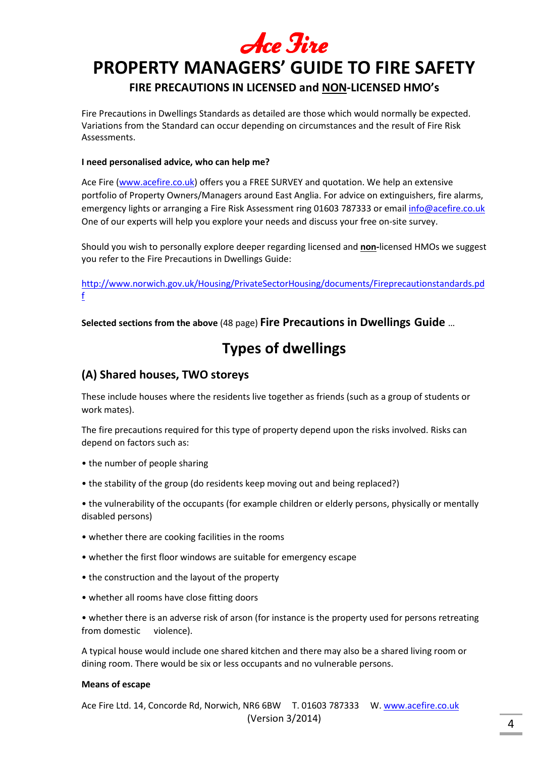

## **FIRE PRECAUTIONS IN LICENSED and NON-LICENSED HMO's**

Fire Precautions in Dwellings Standards as detailed are those which would normally be expected. Variations from the Standard can occur depending on circumstances and the result of Fire Risk Assessments.

## **I need personalised advice, who can help me?**

Ace Fire (www.acefire.co.uk) offers you a FREE SURVEY and quotation. We help an extensive portfolio of Property Owners/Managers around East Anglia. For advice on extinguishers, fire alarms, emergency lights or arranging a Fire Risk Assessment ring 01603 787333 or email info@acefire.co.uk One of our experts will help you explore your needs and discuss your free on-site survey.

Should you wish to personally explore deeper regarding licensed and **non-**licensed HMOs we suggest you refer to the Fire Precautions in Dwellings Guide:

http://www.norwich.gov.uk/Housing/PrivateSectorHousing/documents/Fireprecautionstandards.pd f

**Selected sections from the above** (48 page) **Fire Precautions in Dwellings Guide** …

## **Types of dwellings**

## **(A) Shared houses, TWO storeys**

These include houses where the residents live together as friends (such as a group of students or work mates).

The fire precautions required for this type of property depend upon the risks involved. Risks can depend on factors such as:

- the number of people sharing
- the stability of the group (do residents keep moving out and being replaced?)

• the vulnerability of the occupants (for example children or elderly persons, physically or mentally disabled persons)

- whether there are cooking facilities in the rooms
- whether the first floor windows are suitable for emergency escape
- the construction and the layout of the property
- whether all rooms have close fitting doors

• whether there is an adverse risk of arson (for instance is the property used for persons retreating from domestic violence).

A typical house would include one shared kitchen and there may also be a shared living room or dining room. There would be six or less occupants and no vulnerable persons.

## **Means of escape**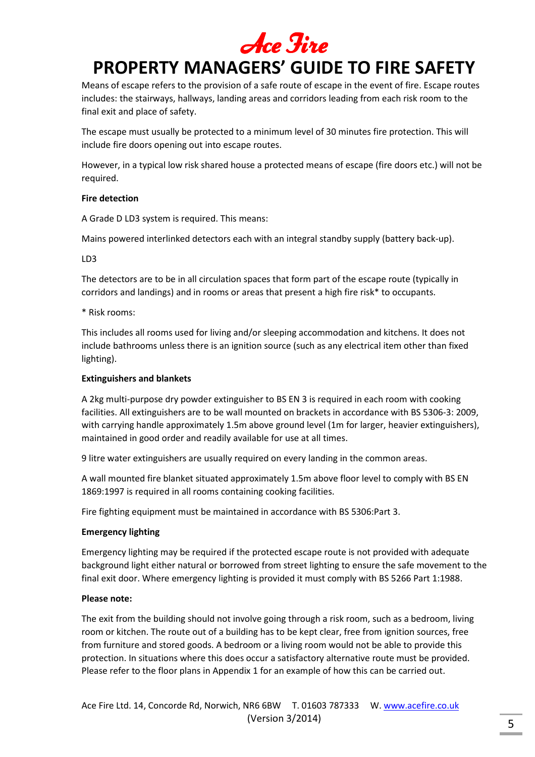Means of escape refers to the provision of a safe route of escape in the event of fire. Escape routes includes: the stairways, hallways, landing areas and corridors leading from each risk room to the final exit and place of safety.

The escape must usually be protected to a minimum level of 30 minutes fire protection. This will include fire doors opening out into escape routes.

However, in a typical low risk shared house a protected means of escape (fire doors etc.) will not be required.

## **Fire detection**

A Grade D LD3 system is required. This means:

Mains powered interlinked detectors each with an integral standby supply (battery back-up).

## LD3

The detectors are to be in all circulation spaces that form part of the escape route (typically in corridors and landings) and in rooms or areas that present a high fire risk\* to occupants.

\* Risk rooms:

This includes all rooms used for living and/or sleeping accommodation and kitchens. It does not include bathrooms unless there is an ignition source (such as any electrical item other than fixed lighting).

## **Extinguishers and blankets**

A 2kg multi-purpose dry powder extinguisher to BS EN 3 is required in each room with cooking facilities. All extinguishers are to be wall mounted on brackets in accordance with BS 5306-3: 2009, with carrying handle approximately 1.5m above ground level (1m for larger, heavier extinguishers), maintained in good order and readily available for use at all times.

9 litre water extinguishers are usually required on every landing in the common areas.

A wall mounted fire blanket situated approximately 1.5m above floor level to comply with BS EN 1869:1997 is required in all rooms containing cooking facilities.

Fire fighting equipment must be maintained in accordance with BS 5306:Part 3.

## **Emergency lighting**

Emergency lighting may be required if the protected escape route is not provided with adequate background light either natural or borrowed from street lighting to ensure the safe movement to the final exit door. Where emergency lighting is provided it must comply with BS 5266 Part 1:1988.

## **Please note:**

The exit from the building should not involve going through a risk room, such as a bedroom, living room or kitchen. The route out of a building has to be kept clear, free from ignition sources, free from furniture and stored goods. A bedroom or a living room would not be able to provide this protection. In situations where this does occur a satisfactory alternative route must be provided. Please refer to the floor plans in Appendix 1 for an example of how this can be carried out.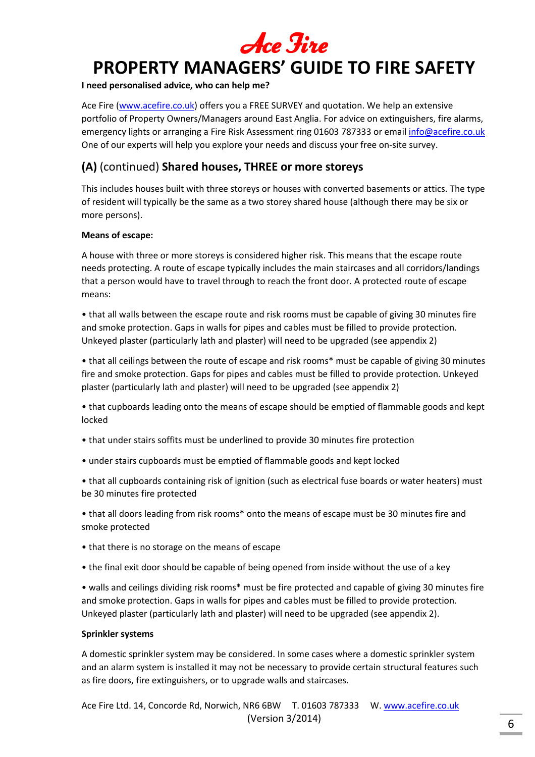## **I need personalised advice, who can help me?**

Ace Fire (www.acefire.co.uk) offers you a FREE SURVEY and quotation. We help an extensive portfolio of Property Owners/Managers around East Anglia. For advice on extinguishers, fire alarms, emergency lights or arranging a Fire Risk Assessment ring 01603 787333 or email info@acefire.co.uk One of our experts will help you explore your needs and discuss your free on-site survey.

## **(A)** (continued) **Shared houses, THREE or more storeys**

This includes houses built with three storeys or houses with converted basements or attics. The type of resident will typically be the same as a two storey shared house (although there may be six or more persons).

## **Means of escape:**

A house with three or more storeys is considered higher risk. This means that the escape route needs protecting. A route of escape typically includes the main staircases and all corridors/landings that a person would have to travel through to reach the front door. A protected route of escape means:

• that all walls between the escape route and risk rooms must be capable of giving 30 minutes fire and smoke protection. Gaps in walls for pipes and cables must be filled to provide protection. Unkeyed plaster (particularly lath and plaster) will need to be upgraded (see appendix 2)

• that all ceilings between the route of escape and risk rooms\* must be capable of giving 30 minutes fire and smoke protection. Gaps for pipes and cables must be filled to provide protection. Unkeyed plaster (particularly lath and plaster) will need to be upgraded (see appendix 2)

• that cupboards leading onto the means of escape should be emptied of flammable goods and kept locked

- that under stairs soffits must be underlined to provide 30 minutes fire protection
- under stairs cupboards must be emptied of flammable goods and kept locked

• that all cupboards containing risk of ignition (such as electrical fuse boards or water heaters) must be 30 minutes fire protected

• that all doors leading from risk rooms\* onto the means of escape must be 30 minutes fire and smoke protected

- that there is no storage on the means of escape
- the final exit door should be capable of being opened from inside without the use of a key

• walls and ceilings dividing risk rooms\* must be fire protected and capable of giving 30 minutes fire and smoke protection. Gaps in walls for pipes and cables must be filled to provide protection. Unkeyed plaster (particularly lath and plaster) will need to be upgraded (see appendix 2).

## **Sprinkler systems**

A domestic sprinkler system may be considered. In some cases where a domestic sprinkler system and an alarm system is installed it may not be necessary to provide certain structural features such as fire doors, fire extinguishers, or to upgrade walls and staircases.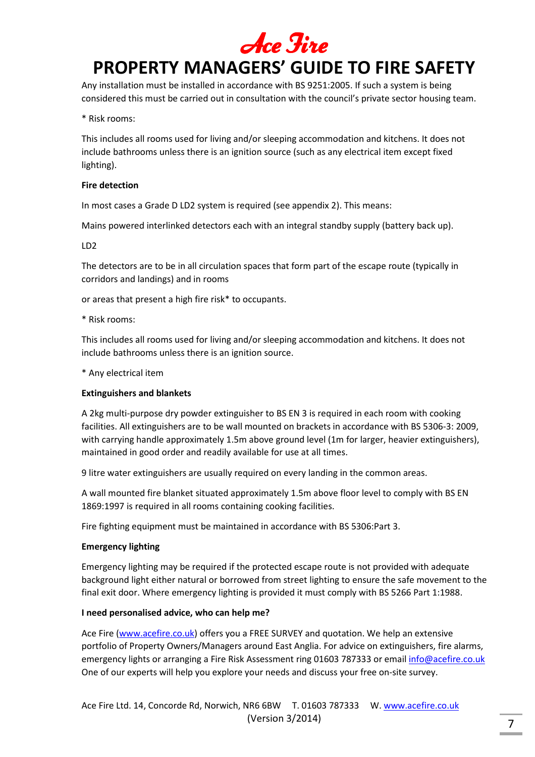Any installation must be installed in accordance with BS 9251:2005. If such a system is being considered this must be carried out in consultation with the council's private sector housing team.

## \* Risk rooms:

This includes all rooms used for living and/or sleeping accommodation and kitchens. It does not include bathrooms unless there is an ignition source (such as any electrical item except fixed lighting).

## **Fire detection**

In most cases a Grade D LD2 system is required (see appendix 2). This means:

Mains powered interlinked detectors each with an integral standby supply (battery back up).

#### LD2

The detectors are to be in all circulation spaces that form part of the escape route (typically in corridors and landings) and in rooms

or areas that present a high fire risk\* to occupants.

\* Risk rooms:

This includes all rooms used for living and/or sleeping accommodation and kitchens. It does not include bathrooms unless there is an ignition source.

\* Any electrical item

## **Extinguishers and blankets**

A 2kg multi-purpose dry powder extinguisher to BS EN 3 is required in each room with cooking facilities. All extinguishers are to be wall mounted on brackets in accordance with BS 5306-3: 2009, with carrying handle approximately 1.5m above ground level (1m for larger, heavier extinguishers), maintained in good order and readily available for use at all times.

9 litre water extinguishers are usually required on every landing in the common areas.

A wall mounted fire blanket situated approximately 1.5m above floor level to comply with BS EN 1869:1997 is required in all rooms containing cooking facilities.

Fire fighting equipment must be maintained in accordance with BS 5306:Part 3.

## **Emergency lighting**

Emergency lighting may be required if the protected escape route is not provided with adequate background light either natural or borrowed from street lighting to ensure the safe movement to the final exit door. Where emergency lighting is provided it must comply with BS 5266 Part 1:1988.

## **I need personalised advice, who can help me?**

Ace Fire (www.acefire.co.uk) offers you a FREE SURVEY and quotation. We help an extensive portfolio of Property Owners/Managers around East Anglia. For advice on extinguishers, fire alarms, emergency lights or arranging a Fire Risk Assessment ring 01603 787333 or email info@acefire.co.uk One of our experts will help you explore your needs and discuss your free on-site survey.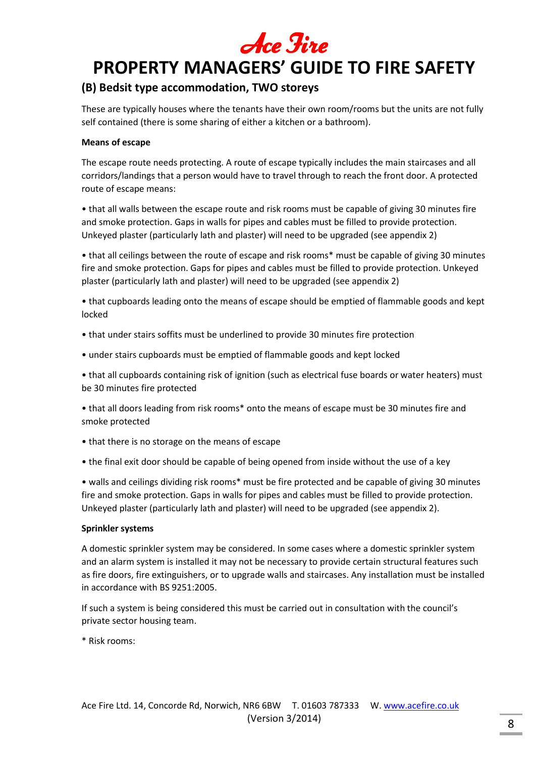# Ace Fire

## **PROPERTY MANAGERS' GUIDE TO FIRE SAFETY**

## **(B) Bedsit type accommodation, TWO storeys**

These are typically houses where the tenants have their own room/rooms but the units are not fully self contained (there is some sharing of either a kitchen or a bathroom).

## **Means of escape**

The escape route needs protecting. A route of escape typically includes the main staircases and all corridors/landings that a person would have to travel through to reach the front door. A protected route of escape means:

• that all walls between the escape route and risk rooms must be capable of giving 30 minutes fire and smoke protection. Gaps in walls for pipes and cables must be filled to provide protection. Unkeyed plaster (particularly lath and plaster) will need to be upgraded (see appendix 2)

• that all ceilings between the route of escape and risk rooms\* must be capable of giving 30 minutes fire and smoke protection. Gaps for pipes and cables must be filled to provide protection. Unkeyed plaster (particularly lath and plaster) will need to be upgraded (see appendix 2)

• that cupboards leading onto the means of escape should be emptied of flammable goods and kept locked

- that under stairs soffits must be underlined to provide 30 minutes fire protection
- under stairs cupboards must be emptied of flammable goods and kept locked

• that all cupboards containing risk of ignition (such as electrical fuse boards or water heaters) must be 30 minutes fire protected

• that all doors leading from risk rooms\* onto the means of escape must be 30 minutes fire and smoke protected

- that there is no storage on the means of escape
- the final exit door should be capable of being opened from inside without the use of a key

• walls and ceilings dividing risk rooms\* must be fire protected and be capable of giving 30 minutes fire and smoke protection. Gaps in walls for pipes and cables must be filled to provide protection. Unkeyed plaster (particularly lath and plaster) will need to be upgraded (see appendix 2).

## **Sprinkler systems**

A domestic sprinkler system may be considered. In some cases where a domestic sprinkler system and an alarm system is installed it may not be necessary to provide certain structural features such as fire doors, fire extinguishers, or to upgrade walls and staircases. Any installation must be installed in accordance with BS 9251:2005.

If such a system is being considered this must be carried out in consultation with the council's private sector housing team.

\* Risk rooms: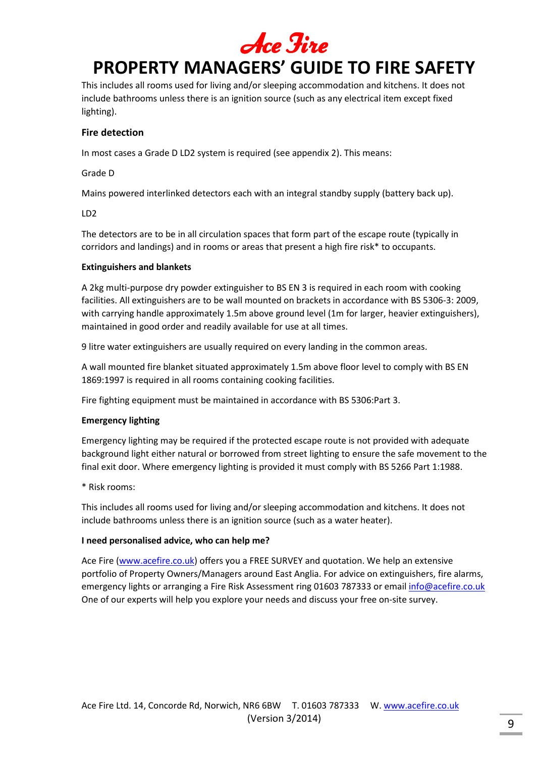

This includes all rooms used for living and/or sleeping accommodation and kitchens. It does not include bathrooms unless there is an ignition source (such as any electrical item except fixed lighting).

## **Fire detection**

In most cases a Grade D LD2 system is required (see appendix 2). This means:

Grade D

Mains powered interlinked detectors each with an integral standby supply (battery back up).

LD2

The detectors are to be in all circulation spaces that form part of the escape route (typically in corridors and landings) and in rooms or areas that present a high fire risk\* to occupants.

## **Extinguishers and blankets**

A 2kg multi-purpose dry powder extinguisher to BS EN 3 is required in each room with cooking facilities. All extinguishers are to be wall mounted on brackets in accordance with BS 5306-3: 2009, with carrying handle approximately 1.5m above ground level (1m for larger, heavier extinguishers), maintained in good order and readily available for use at all times.

9 litre water extinguishers are usually required on every landing in the common areas.

A wall mounted fire blanket situated approximately 1.5m above floor level to comply with BS EN 1869:1997 is required in all rooms containing cooking facilities.

Fire fighting equipment must be maintained in accordance with BS 5306:Part 3.

## **Emergency lighting**

Emergency lighting may be required if the protected escape route is not provided with adequate background light either natural or borrowed from street lighting to ensure the safe movement to the final exit door. Where emergency lighting is provided it must comply with BS 5266 Part 1:1988.

\* Risk rooms:

This includes all rooms used for living and/or sleeping accommodation and kitchens. It does not include bathrooms unless there is an ignition source (such as a water heater).

## **I need personalised advice, who can help me?**

Ace Fire (www.acefire.co.uk) offers you a FREE SURVEY and quotation. We help an extensive portfolio of Property Owners/Managers around East Anglia. For advice on extinguishers, fire alarms, emergency lights or arranging a Fire Risk Assessment ring 01603 787333 or email info@acefire.co.uk One of our experts will help you explore your needs and discuss your free on-site survey.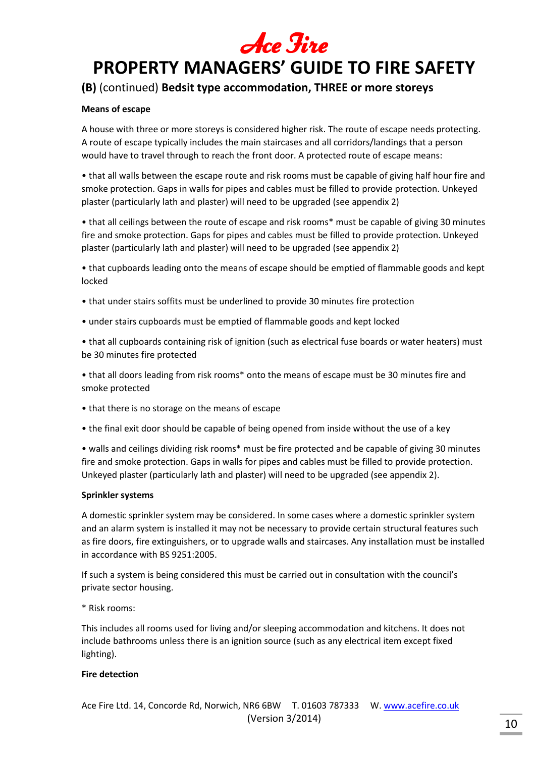

## **(B)** (continued) **Bedsit type accommodation, THREE or more storeys**

## **Means of escape**

A house with three or more storeys is considered higher risk. The route of escape needs protecting. A route of escape typically includes the main staircases and all corridors/landings that a person would have to travel through to reach the front door. A protected route of escape means:

• that all walls between the escape route and risk rooms must be capable of giving half hour fire and smoke protection. Gaps in walls for pipes and cables must be filled to provide protection. Unkeyed plaster (particularly lath and plaster) will need to be upgraded (see appendix 2)

• that all ceilings between the route of escape and risk rooms\* must be capable of giving 30 minutes fire and smoke protection. Gaps for pipes and cables must be filled to provide protection. Unkeyed plaster (particularly lath and plaster) will need to be upgraded (see appendix 2)

• that cupboards leading onto the means of escape should be emptied of flammable goods and kept locked

- that under stairs soffits must be underlined to provide 30 minutes fire protection
- under stairs cupboards must be emptied of flammable goods and kept locked

• that all cupboards containing risk of ignition (such as electrical fuse boards or water heaters) must be 30 minutes fire protected

• that all doors leading from risk rooms\* onto the means of escape must be 30 minutes fire and smoke protected

- that there is no storage on the means of escape
- the final exit door should be capable of being opened from inside without the use of a key

• walls and ceilings dividing risk rooms\* must be fire protected and be capable of giving 30 minutes fire and smoke protection. Gaps in walls for pipes and cables must be filled to provide protection. Unkeyed plaster (particularly lath and plaster) will need to be upgraded (see appendix 2).

## **Sprinkler systems**

A domestic sprinkler system may be considered. In some cases where a domestic sprinkler system and an alarm system is installed it may not be necessary to provide certain structural features such as fire doors, fire extinguishers, or to upgrade walls and staircases. Any installation must be installed in accordance with BS 9251:2005.

If such a system is being considered this must be carried out in consultation with the council's private sector housing.

\* Risk rooms:

This includes all rooms used for living and/or sleeping accommodation and kitchens. It does not include bathrooms unless there is an ignition source (such as any electrical item except fixed lighting).

## **Fire detection**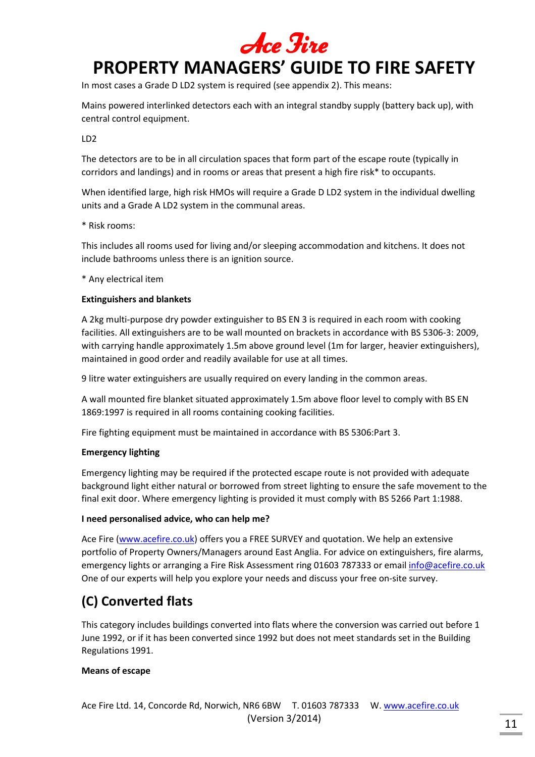

In most cases a Grade D LD2 system is required (see appendix 2). This means:

Mains powered interlinked detectors each with an integral standby supply (battery back up), with central control equipment.

LD2

The detectors are to be in all circulation spaces that form part of the escape route (typically in corridors and landings) and in rooms or areas that present a high fire risk\* to occupants.

When identified large, high risk HMOs will require a Grade D LD2 system in the individual dwelling units and a Grade A LD2 system in the communal areas.

\* Risk rooms:

This includes all rooms used for living and/or sleeping accommodation and kitchens. It does not include bathrooms unless there is an ignition source.

\* Any electrical item

## **Extinguishers and blankets**

A 2kg multi-purpose dry powder extinguisher to BS EN 3 is required in each room with cooking facilities. All extinguishers are to be wall mounted on brackets in accordance with BS 5306-3: 2009, with carrying handle approximately 1.5m above ground level (1m for larger, heavier extinguishers), maintained in good order and readily available for use at all times.

9 litre water extinguishers are usually required on every landing in the common areas.

A wall mounted fire blanket situated approximately 1.5m above floor level to comply with BS EN 1869:1997 is required in all rooms containing cooking facilities.

Fire fighting equipment must be maintained in accordance with BS 5306:Part 3.

## **Emergency lighting**

Emergency lighting may be required if the protected escape route is not provided with adequate background light either natural or borrowed from street lighting to ensure the safe movement to the final exit door. Where emergency lighting is provided it must comply with BS 5266 Part 1:1988.

## **I need personalised advice, who can help me?**

Ace Fire (www.acefire.co.uk) offers you a FREE SURVEY and quotation. We help an extensive portfolio of Property Owners/Managers around East Anglia. For advice on extinguishers, fire alarms, emergency lights or arranging a Fire Risk Assessment ring 01603 787333 or email info@acefire.co.uk One of our experts will help you explore your needs and discuss your free on-site survey.

## **(C) Converted flats**

This category includes buildings converted into flats where the conversion was carried out before 1 June 1992, or if it has been converted since 1992 but does not meet standards set in the Building Regulations 1991.

## **Means of escape**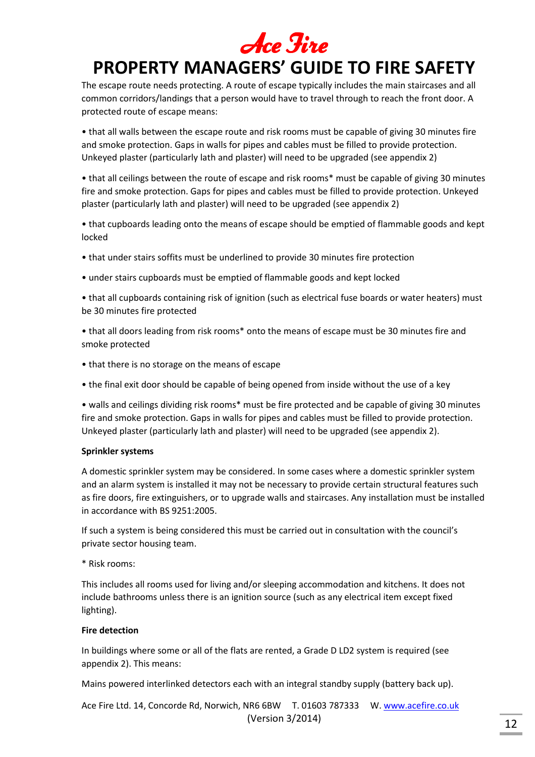The escape route needs protecting. A route of escape typically includes the main staircases and all common corridors/landings that a person would have to travel through to reach the front door. A protected route of escape means:

• that all walls between the escape route and risk rooms must be capable of giving 30 minutes fire and smoke protection. Gaps in walls for pipes and cables must be filled to provide protection. Unkeyed plaster (particularly lath and plaster) will need to be upgraded (see appendix 2)

• that all ceilings between the route of escape and risk rooms\* must be capable of giving 30 minutes fire and smoke protection. Gaps for pipes and cables must be filled to provide protection. Unkeyed plaster (particularly lath and plaster) will need to be upgraded (see appendix 2)

• that cupboards leading onto the means of escape should be emptied of flammable goods and kept locked

- that under stairs soffits must be underlined to provide 30 minutes fire protection
- under stairs cupboards must be emptied of flammable goods and kept locked

• that all cupboards containing risk of ignition (such as electrical fuse boards or water heaters) must be 30 minutes fire protected

• that all doors leading from risk rooms\* onto the means of escape must be 30 minutes fire and smoke protected

- that there is no storage on the means of escape
- the final exit door should be capable of being opened from inside without the use of a key

• walls and ceilings dividing risk rooms\* must be fire protected and be capable of giving 30 minutes fire and smoke protection. Gaps in walls for pipes and cables must be filled to provide protection. Unkeyed plaster (particularly lath and plaster) will need to be upgraded (see appendix 2).

## **Sprinkler systems**

A domestic sprinkler system may be considered. In some cases where a domestic sprinkler system and an alarm system is installed it may not be necessary to provide certain structural features such as fire doors, fire extinguishers, or to upgrade walls and staircases. Any installation must be installed in accordance with BS 9251:2005.

If such a system is being considered this must be carried out in consultation with the council's private sector housing team.

\* Risk rooms:

This includes all rooms used for living and/or sleeping accommodation and kitchens. It does not include bathrooms unless there is an ignition source (such as any electrical item except fixed lighting).

## **Fire detection**

In buildings where some or all of the flats are rented, a Grade D LD2 system is required (see appendix 2). This means:

Mains powered interlinked detectors each with an integral standby supply (battery back up).

Ace Fire Ltd. 14, Concorde Rd, Norwich, NR6 6BW T. 01603 787333 W. www.acefire.co.uk (Version 3/2014) 12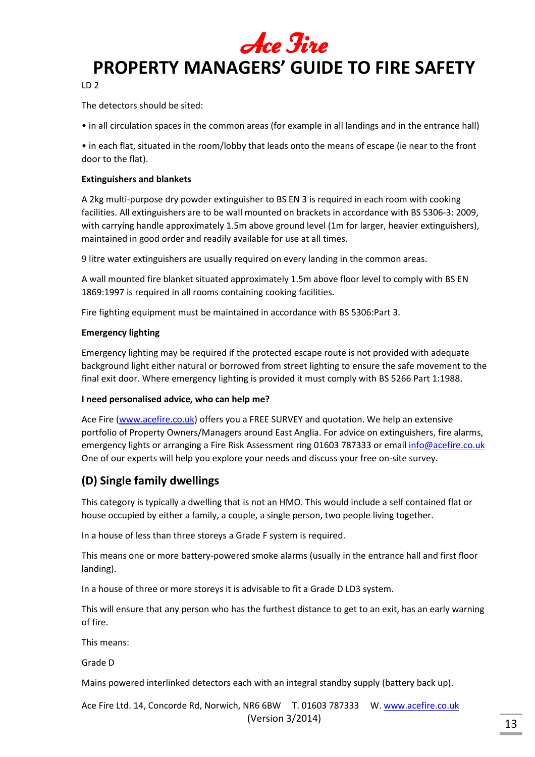

LD 2

The detectors should be sited:

• in all circulation spaces in the common areas (for example in all landings and in the entrance hall)

• in each flat, situated in the room/lobby that leads onto the means of escape (ie near to the front door to the flat).

### **Extinguishers and blankets**

A 2kg multi-purpose dry powder extinguisher to BS EN 3 is required in each room with cooking facilities. All extinguishers are to be wall mounted on brackets in accordance with BS 5306-3: 2009, with carrying handle approximately 1.5m above ground level (1m for larger, heavier extinguishers), maintained in good order and readily available for use at all times.

9 litre water extinguishers are usually required on every landing in the common areas.

A wall mounted fire blanket situated approximately 1.5m above floor level to comply with BS EN 1869:1997 is required in all rooms containing cooking facilities.

Fire fighting equipment must be maintained in accordance with BS 5306:Part 3.

#### **Emergency lighting**

Emergency lighting may be required if the protected escape route is not provided with adequate background light either natural or borrowed from street lighting to ensure the safe movement to the final exit door. Where emergency lighting is provided it must comply with BS 5266 Part 1:1988.

## **I need personalised advice, who can help me?**

Ace Fire (www.acefire.co.uk) offers you a FREE SURVEY and quotation. We help an extensive portfolio of Property Owners/Managers around East Anglia. For advice on extinguishers, fire alarms, emergency lights or arranging a Fire Risk Assessment ring 01603 787333 or email info@acefire.co.uk One of our experts will help you explore your needs and discuss your free on-site survey.

## **(D) Single family dwellings**

This category is typically a dwelling that is not an HMO. This would include a self contained flat or house occupied by either a family, a couple, a single person, two people living together.

In a house of less than three storeys a Grade F system is required.

This means one or more battery-powered smoke alarms (usually in the entrance hall and first floor landing).

In a house of three or more storeys it is advisable to fit a Grade D LD3 system.

This will ensure that any person who has the furthest distance to get to an exit, has an early warning of fire.

This means:

Grade D

Mains powered interlinked detectors each with an integral standby supply (battery back up).

Ace Fire Ltd. 14, Concorde Rd, Norwich, NR6 6BW T. 01603 787333 W. www.acefire.co.uk (Version 3/2014)  $\frac{13}{13}$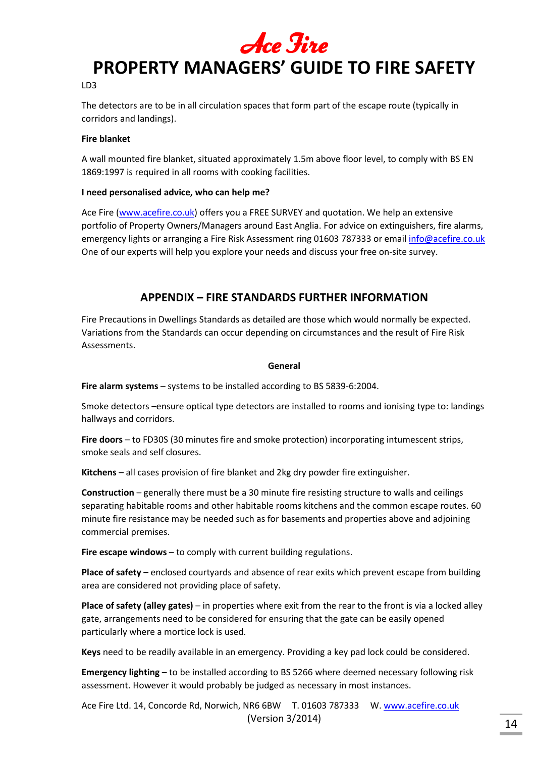

#### LD3

The detectors are to be in all circulation spaces that form part of the escape route (typically in corridors and landings).

## **Fire blanket**

A wall mounted fire blanket, situated approximately 1.5m above floor level, to comply with BS EN 1869:1997 is required in all rooms with cooking facilities.

## **I need personalised advice, who can help me?**

Ace Fire (www.acefire.co.uk) offers you a FREE SURVEY and quotation. We help an extensive portfolio of Property Owners/Managers around East Anglia. For advice on extinguishers, fire alarms, emergency lights or arranging a Fire Risk Assessment ring 01603 787333 or email info@acefire.co.uk One of our experts will help you explore your needs and discuss your free on-site survey.

## **APPENDIX – FIRE STANDARDS FURTHER INFORMATION**

Fire Precautions in Dwellings Standards as detailed are those which would normally be expected. Variations from the Standards can occur depending on circumstances and the result of Fire Risk Assessments.

#### **General**

**Fire alarm systems** – systems to be installed according to BS 5839-6:2004.

Smoke detectors –ensure optical type detectors are installed to rooms and ionising type to: landings hallways and corridors.

**Fire doors** – to FD30S (30 minutes fire and smoke protection) incorporating intumescent strips, smoke seals and self closures.

**Kitchens** – all cases provision of fire blanket and 2kg dry powder fire extinguisher.

**Construction** – generally there must be a 30 minute fire resisting structure to walls and ceilings separating habitable rooms and other habitable rooms kitchens and the common escape routes. 60 minute fire resistance may be needed such as for basements and properties above and adjoining commercial premises.

**Fire escape windows** – to comply with current building regulations.

**Place of safety** – enclosed courtyards and absence of rear exits which prevent escape from building area are considered not providing place of safety.

**Place of safety (alley gates)** – in properties where exit from the rear to the front is via a locked alley gate, arrangements need to be considered for ensuring that the gate can be easily opened particularly where a mortice lock is used.

**Keys** need to be readily available in an emergency. Providing a key pad lock could be considered.

**Emergency lighting** – to be installed according to BS 5266 where deemed necessary following risk assessment. However it would probably be judged as necessary in most instances.

Ace Fire Ltd. 14, Concorde Rd, Norwich, NR6 6BW T. 01603 787333 W. www.acefire.co.uk (Version 3/2014)  $\frac{1}{14}$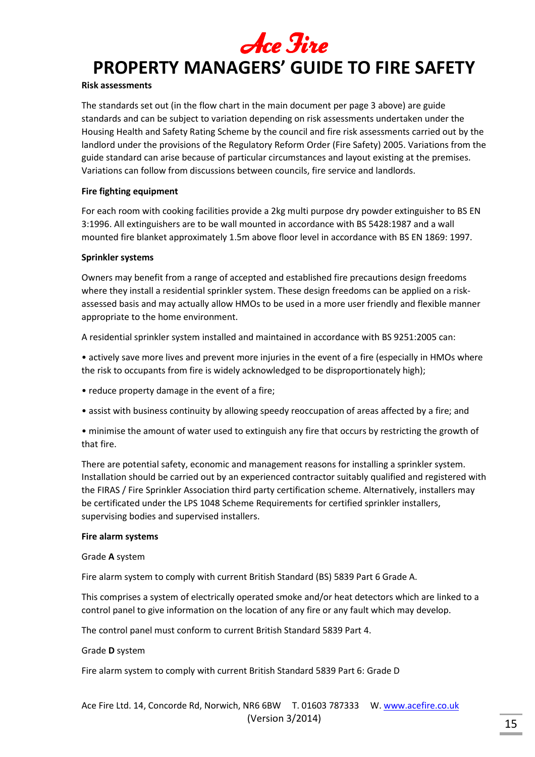# Ace Fire

## **PROPERTY MANAGERS' GUIDE TO FIRE SAFETY**

## **Risk assessments**

The standards set out (in the flow chart in the main document per page 3 above) are guide standards and can be subject to variation depending on risk assessments undertaken under the Housing Health and Safety Rating Scheme by the council and fire risk assessments carried out by the landlord under the provisions of the Regulatory Reform Order (Fire Safety) 2005. Variations from the guide standard can arise because of particular circumstances and layout existing at the premises. Variations can follow from discussions between councils, fire service and landlords.

## **Fire fighting equipment**

For each room with cooking facilities provide a 2kg multi purpose dry powder extinguisher to BS EN 3:1996. All extinguishers are to be wall mounted in accordance with BS 5428:1987 and a wall mounted fire blanket approximately 1.5m above floor level in accordance with BS EN 1869: 1997.

## **Sprinkler systems**

Owners may benefit from a range of accepted and established fire precautions design freedoms where they install a residential sprinkler system. These design freedoms can be applied on a riskassessed basis and may actually allow HMOs to be used in a more user friendly and flexible manner appropriate to the home environment.

A residential sprinkler system installed and maintained in accordance with BS 9251:2005 can:

• actively save more lives and prevent more injuries in the event of a fire (especially in HMOs where the risk to occupants from fire is widely acknowledged to be disproportionately high);

- reduce property damage in the event of a fire;
- assist with business continuity by allowing speedy reoccupation of areas affected by a fire; and

• minimise the amount of water used to extinguish any fire that occurs by restricting the growth of that fire.

There are potential safety, economic and management reasons for installing a sprinkler system. Installation should be carried out by an experienced contractor suitably qualified and registered with the FIRAS / Fire Sprinkler Association third party certification scheme. Alternatively, installers may be certificated under the LPS 1048 Scheme Requirements for certified sprinkler installers, supervising bodies and supervised installers.

## **Fire alarm systems**

## Grade **A** system

Fire alarm system to comply with current British Standard (BS) 5839 Part 6 Grade A.

This comprises a system of electrically operated smoke and/or heat detectors which are linked to a control panel to give information on the location of any fire or any fault which may develop.

The control panel must conform to current British Standard 5839 Part 4.

Grade **D** system

Fire alarm system to comply with current British Standard 5839 Part 6: Grade D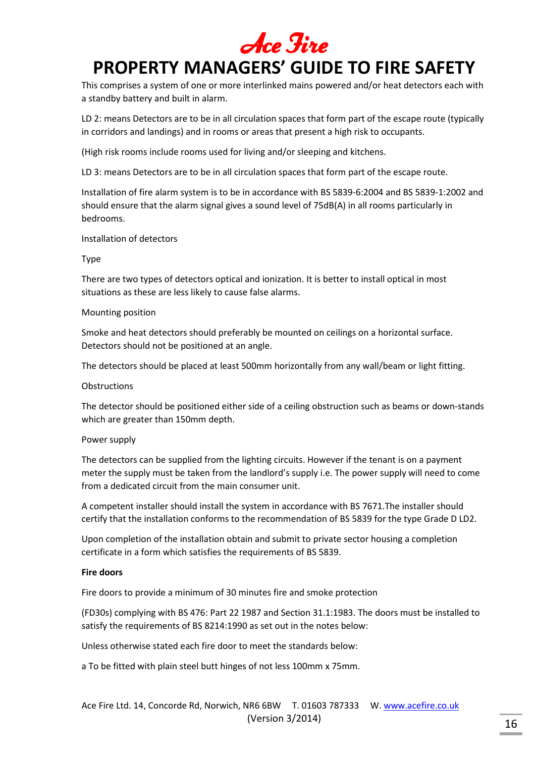# Ace Fire

## **PROPERTY MANAGERS' GUIDE TO FIRE SAFETY**

This comprises a system of one or more interlinked mains powered and/or heat detectors each with a standby battery and built in alarm.

LD 2: means Detectors are to be in all circulation spaces that form part of the escape route (typically in corridors and landings) and in rooms or areas that present a high risk to occupants.

(High risk rooms include rooms used for living and/or sleeping and kitchens.

LD 3: means Detectors are to be in all circulation spaces that form part of the escape route.

Installation of fire alarm system is to be in accordance with BS 5839-6:2004 and BS 5839-1:2002 and should ensure that the alarm signal gives a sound level of 75dB(A) in all rooms particularly in bedrooms.

Installation of detectors

#### Type

There are two types of detectors optical and ionization. It is better to install optical in most situations as these are less likely to cause false alarms.

#### Mounting position

Smoke and heat detectors should preferably be mounted on ceilings on a horizontal surface. Detectors should not be positioned at an angle.

The detectors should be placed at least 500mm horizontally from any wall/beam or light fitting.

#### **Obstructions**

The detector should be positioned either side of a ceiling obstruction such as beams or down-stands which are greater than 150mm depth.

## Power supply

The detectors can be supplied from the lighting circuits. However if the tenant is on a payment meter the supply must be taken from the landlord's supply i.e. The power supply will need to come from a dedicated circuit from the main consumer unit.

A competent installer should install the system in accordance with BS 7671.The installer should certify that the installation conforms to the recommendation of BS 5839 for the type Grade D LD2.

Upon completion of the installation obtain and submit to private sector housing a completion certificate in a form which satisfies the requirements of BS 5839.

#### **Fire doors**

Fire doors to provide a minimum of 30 minutes fire and smoke protection

(FD30s) complying with BS 476: Part 22 1987 and Section 31.1:1983. The doors must be installed to satisfy the requirements of BS 8214:1990 as set out in the notes below:

Unless otherwise stated each fire door to meet the standards below:

a To be fitted with plain steel butt hinges of not less 100mm x 75mm.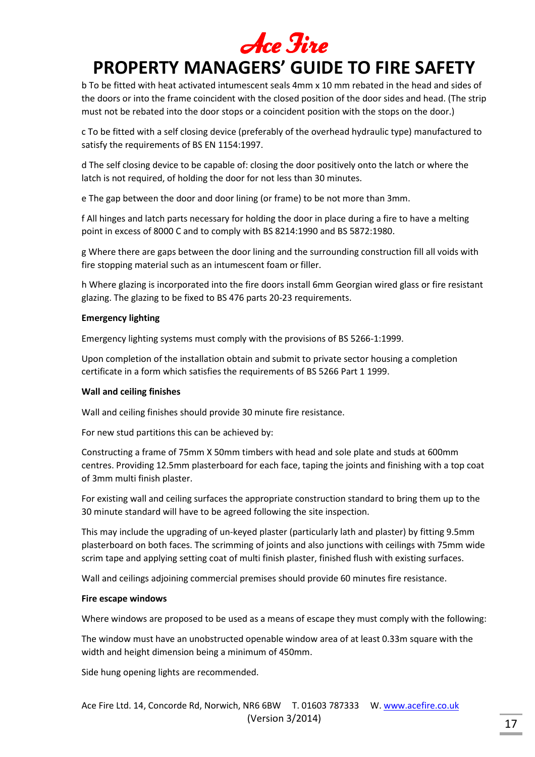b To be fitted with heat activated intumescent seals 4mm x 10 mm rebated in the head and sides of the doors or into the frame coincident with the closed position of the door sides and head. (The strip must not be rebated into the door stops or a coincident position with the stops on the door.)

c To be fitted with a self closing device (preferably of the overhead hydraulic type) manufactured to satisfy the requirements of BS EN 1154:1997.

d The self closing device to be capable of: closing the door positively onto the latch or where the latch is not required, of holding the door for not less than 30 minutes.

e The gap between the door and door lining (or frame) to be not more than 3mm.

f All hinges and latch parts necessary for holding the door in place during a fire to have a melting point in excess of 8000 C and to comply with BS 8214:1990 and BS 5872:1980.

g Where there are gaps between the door lining and the surrounding construction fill all voids with fire stopping material such as an intumescent foam or filler.

h Where glazing is incorporated into the fire doors install 6mm Georgian wired glass or fire resistant glazing. The glazing to be fixed to BS 476 parts 20-23 requirements.

## **Emergency lighting**

Emergency lighting systems must comply with the provisions of BS 5266-1:1999.

Upon completion of the installation obtain and submit to private sector housing a completion certificate in a form which satisfies the requirements of BS 5266 Part 1 1999.

## **Wall and ceiling finishes**

Wall and ceiling finishes should provide 30 minute fire resistance.

For new stud partitions this can be achieved by:

Constructing a frame of 75mm X 50mm timbers with head and sole plate and studs at 600mm centres. Providing 12.5mm plasterboard for each face, taping the joints and finishing with a top coat of 3mm multi finish plaster.

For existing wall and ceiling surfaces the appropriate construction standard to bring them up to the 30 minute standard will have to be agreed following the site inspection.

This may include the upgrading of un-keyed plaster (particularly lath and plaster) by fitting 9.5mm plasterboard on both faces. The scrimming of joints and also junctions with ceilings with 75mm wide scrim tape and applying setting coat of multi finish plaster, finished flush with existing surfaces.

Wall and ceilings adjoining commercial premises should provide 60 minutes fire resistance.

## **Fire escape windows**

Where windows are proposed to be used as a means of escape they must comply with the following:

The window must have an unobstructed openable window area of at least 0.33m square with the width and height dimension being a minimum of 450mm.

Side hung opening lights are recommended.